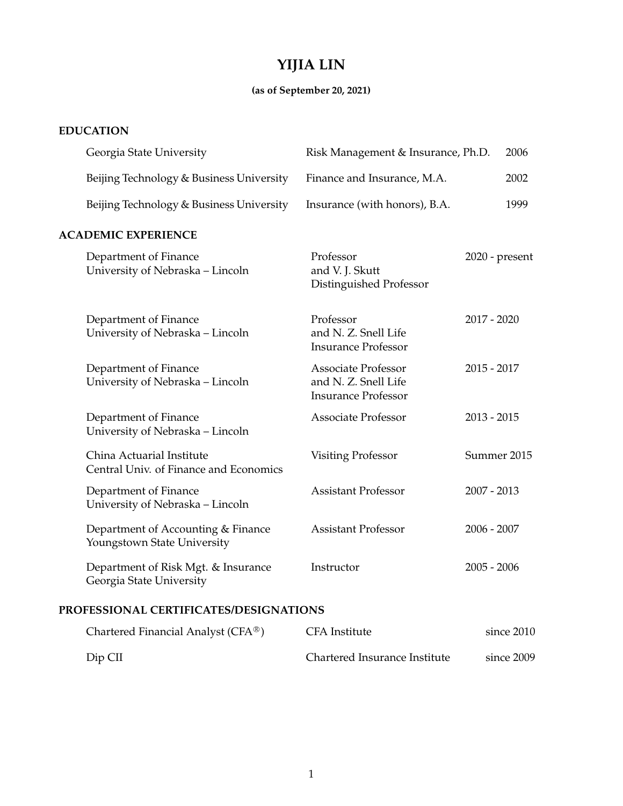# **YIJIA LIN**

## **(as of September 20, 2021)**

## **EDUCATION**

|                            | Georgia State University                                            | Risk Management & Insurance, Ph.D.                                               |                | 2006 |  |
|----------------------------|---------------------------------------------------------------------|----------------------------------------------------------------------------------|----------------|------|--|
|                            | Beijing Technology & Business University                            | Finance and Insurance, M.A.                                                      |                | 2002 |  |
|                            | Beijing Technology & Business University                            | Insurance (with honors), B.A.                                                    |                | 1999 |  |
| <b>ACADEMIC EXPERIENCE</b> |                                                                     |                                                                                  |                |      |  |
|                            | Department of Finance<br>University of Nebraska - Lincoln           | Professor<br>and V. J. Skutt<br>Distinguished Professor                          | 2020 - present |      |  |
|                            | Department of Finance<br>University of Nebraska - Lincoln           | Professor<br>and N. Z. Snell Life<br><b>Insurance Professor</b>                  | $2017 - 2020$  |      |  |
|                            | Department of Finance<br>University of Nebraska - Lincoln           | <b>Associate Professor</b><br>and N. Z. Snell Life<br><b>Insurance Professor</b> | $2015 - 2017$  |      |  |
|                            | Department of Finance<br>University of Nebraska - Lincoln           | <b>Associate Professor</b>                                                       | $2013 - 2015$  |      |  |
|                            | China Actuarial Institute<br>Central Univ. of Finance and Economics | <b>Visiting Professor</b>                                                        | Summer 2015    |      |  |
|                            | Department of Finance<br>University of Nebraska - Lincoln           | <b>Assistant Professor</b>                                                       | $2007 - 2013$  |      |  |
|                            | Department of Accounting & Finance<br>Youngstown State University   | <b>Assistant Professor</b>                                                       | $2006 - 2007$  |      |  |
|                            | Department of Risk Mgt. & Insurance<br>Georgia State University     | Instructor                                                                       | $2005 - 2006$  |      |  |
|                            |                                                                     |                                                                                  |                |      |  |

### **PROFESSIONAL CERTIFICATES/DESIGNATIONS**

| Chartered Financial Analyst (CFA <sup>®</sup> ) | CFA Institute                 | since 2010 |
|-------------------------------------------------|-------------------------------|------------|
| $Dip$ CII                                       | Chartered Insurance Institute | since 2009 |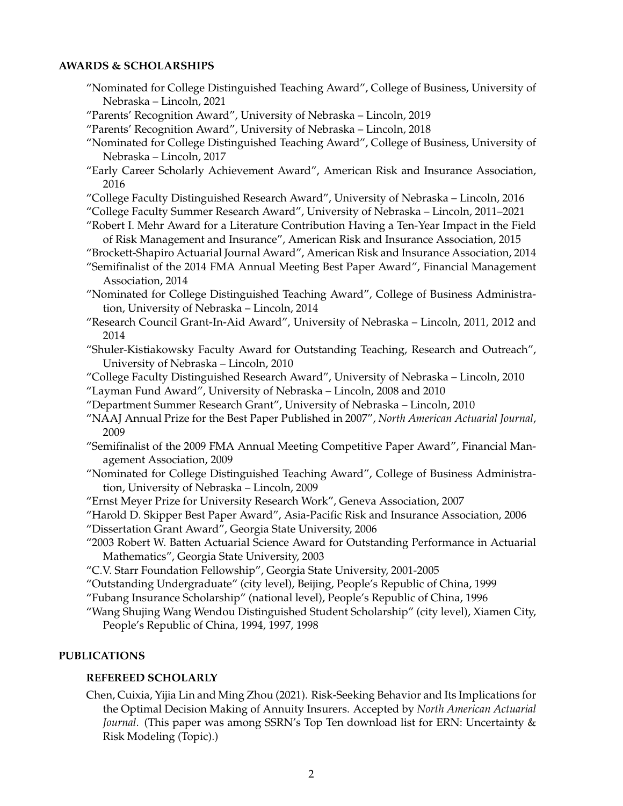#### **AWARDS & SCHOLARSHIPS**

- "Nominated for College Distinguished Teaching Award", College of Business, University of Nebraska – Lincoln, 2021
- "Parents' Recognition Award", University of Nebraska Lincoln, 2019
- "Parents' Recognition Award", University of Nebraska Lincoln, 2018
- "Nominated for College Distinguished Teaching Award", College of Business, University of Nebraska – Lincoln, 2017
- "Early Career Scholarly Achievement Award", American Risk and Insurance Association, 2016
- "College Faculty Distinguished Research Award", University of Nebraska Lincoln, 2016
- "College Faculty Summer Research Award", University of Nebraska Lincoln, 2011–2021
- "Robert I. Mehr Award for a Literature Contribution Having a Ten-Year Impact in the Field of Risk Management and Insurance", American Risk and Insurance Association, 2015
- "Brockett-Shapiro Actuarial Journal Award", American Risk and Insurance Association, 2014
- "Semifinalist of the 2014 FMA Annual Meeting Best Paper Award", Financial Management Association, 2014
- "Nominated for College Distinguished Teaching Award", College of Business Administration, University of Nebraska – Lincoln, 2014
- "Research Council Grant-In-Aid Award", University of Nebraska Lincoln, 2011, 2012 and 2014
- "Shuler-Kistiakowsky Faculty Award for Outstanding Teaching, Research and Outreach", University of Nebraska – Lincoln, 2010

"College Faculty Distinguished Research Award", University of Nebraska – Lincoln, 2010

"Layman Fund Award", University of Nebraska – Lincoln, 2008 and 2010

- "Department Summer Research Grant", University of Nebraska Lincoln, 2010
- "NAAJ Annual Prize for the Best Paper Published in 2007", *North American Actuarial Journal*, 2009
- "Semifinalist of the 2009 FMA Annual Meeting Competitive Paper Award", Financial Management Association, 2009
- "Nominated for College Distinguished Teaching Award", College of Business Administration, University of Nebraska – Lincoln, 2009
- "Ernst Meyer Prize for University Research Work", Geneva Association, 2007
- "Harold D. Skipper Best Paper Award", Asia-Pacific Risk and Insurance Association, 2006 "Dissertation Grant Award", Georgia State University, 2006
- "2003 Robert W. Batten Actuarial Science Award for Outstanding Performance in Actuarial Mathematics", Georgia State University, 2003
- "C.V. Starr Foundation Fellowship", Georgia State University, 2001-2005
- "Outstanding Undergraduate" (city level), Beijing, People's Republic of China, 1999
- "Fubang Insurance Scholarship" (national level), People's Republic of China, 1996
- "Wang Shujing Wang Wendou Distinguished Student Scholarship" (city level), Xiamen City, People's Republic of China, 1994, 1997, 1998

#### **PUBLICATIONS**

#### **REFEREED SCHOLARLY**

Chen, Cuixia, Yijia Lin and Ming Zhou (2021). Risk-Seeking Behavior and Its Implications for the Optimal Decision Making of Annuity Insurers. Accepted by *North American Actuarial Journal*. (This paper was among SSRN's Top Ten download list for ERN: Uncertainty & Risk Modeling (Topic).)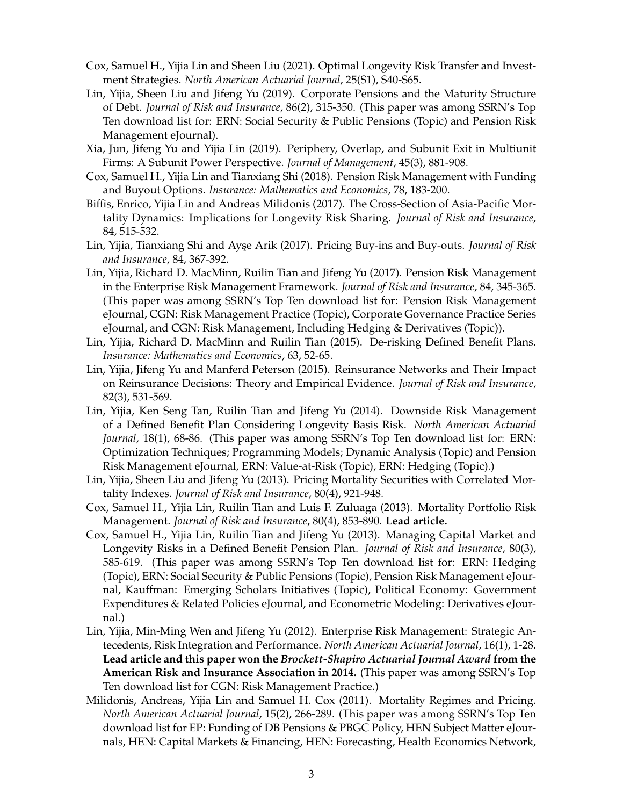- Cox, Samuel H., Yijia Lin and Sheen Liu (2021). Optimal Longevity Risk Transfer and Investment Strategies. *North American Actuarial Journal*, 25(S1), S40-S65.
- Lin, Yijia, Sheen Liu and Jifeng Yu (2019). Corporate Pensions and the Maturity Structure of Debt. *Journal of Risk and Insurance*, 86(2), 315-350. (This paper was among SSRN's Top Ten download list for: ERN: Social Security & Public Pensions (Topic) and Pension Risk Management eJournal).
- Xia, Jun, Jifeng Yu and Yijia Lin (2019). Periphery, Overlap, and Subunit Exit in Multiunit Firms: A Subunit Power Perspective. *Journal of Management*, 45(3), 881-908.
- Cox, Samuel H., Yijia Lin and Tianxiang Shi (2018). Pension Risk Management with Funding and Buyout Options. *Insurance: Mathematics and Economics*, 78, 183-200.
- Biffis, Enrico, Yijia Lin and Andreas Milidonis (2017). The Cross-Section of Asia-Pacific Mortality Dynamics: Implications for Longevity Risk Sharing. *Journal of Risk and Insurance*, 84, 515-532.
- Lin, Yijia, Tianxiang Shi and Ayşe Arik (2017). Pricing Buy-ins and Buy-outs. *Journal of Risk and Insurance*, 84, 367-392.
- Lin, Yijia, Richard D. MacMinn, Ruilin Tian and Jifeng Yu (2017). Pension Risk Management in the Enterprise Risk Management Framework. *Journal of Risk and Insurance*, 84, 345-365. (This paper was among SSRN's Top Ten download list for: Pension Risk Management eJournal, CGN: Risk Management Practice (Topic), Corporate Governance Practice Series eJournal, and CGN: Risk Management, Including Hedging & Derivatives (Topic)).
- Lin, Yijia, Richard D. MacMinn and Ruilin Tian (2015). De-risking Defined Benefit Plans. *Insurance: Mathematics and Economics*, 63, 52-65.
- Lin, Yijia, Jifeng Yu and Manferd Peterson (2015). Reinsurance Networks and Their Impact on Reinsurance Decisions: Theory and Empirical Evidence. *Journal of Risk and Insurance*, 82(3), 531-569.
- Lin, Yijia, Ken Seng Tan, Ruilin Tian and Jifeng Yu (2014). Downside Risk Management of a Defined Benefit Plan Considering Longevity Basis Risk. *North American Actuarial Journal*, 18(1), 68-86. (This paper was among SSRN's Top Ten download list for: ERN: Optimization Techniques; Programming Models; Dynamic Analysis (Topic) and Pension Risk Management eJournal, ERN: Value-at-Risk (Topic), ERN: Hedging (Topic).)
- Lin, Yijia, Sheen Liu and Jifeng Yu (2013). Pricing Mortality Securities with Correlated Mortality Indexes. *Journal of Risk and Insurance*, 80(4), 921-948.
- Cox, Samuel H., Yijia Lin, Ruilin Tian and Luis F. Zuluaga (2013). Mortality Portfolio Risk Management. *Journal of Risk and Insurance*, 80(4), 853-890. **Lead article.**
- Cox, Samuel H., Yijia Lin, Ruilin Tian and Jifeng Yu (2013). Managing Capital Market and Longevity Risks in a Defined Benefit Pension Plan. *Journal of Risk and Insurance*, 80(3), 585-619. (This paper was among SSRN's Top Ten download list for: ERN: Hedging (Topic), ERN: Social Security & Public Pensions (Topic), Pension Risk Management eJournal, Kauffman: Emerging Scholars Initiatives (Topic), Political Economy: Government Expenditures & Related Policies eJournal, and Econometric Modeling: Derivatives eJournal.)
- Lin, Yijia, Min-Ming Wen and Jifeng Yu (2012). Enterprise Risk Management: Strategic Antecedents, Risk Integration and Performance. *North American Actuarial Journal*, 16(1), 1-28. **Lead article and this paper won the** *Brockett-Shapiro Actuarial Journal Award* **from the American Risk and Insurance Association in 2014.** (This paper was among SSRN's Top Ten download list for CGN: Risk Management Practice.)
- Milidonis, Andreas, Yijia Lin and Samuel H. Cox (2011). Mortality Regimes and Pricing. *North American Actuarial Journal*, 15(2), 266-289. (This paper was among SSRN's Top Ten download list for EP: Funding of DB Pensions & PBGC Policy, HEN Subject Matter eJournals, HEN: Capital Markets & Financing, HEN: Forecasting, Health Economics Network,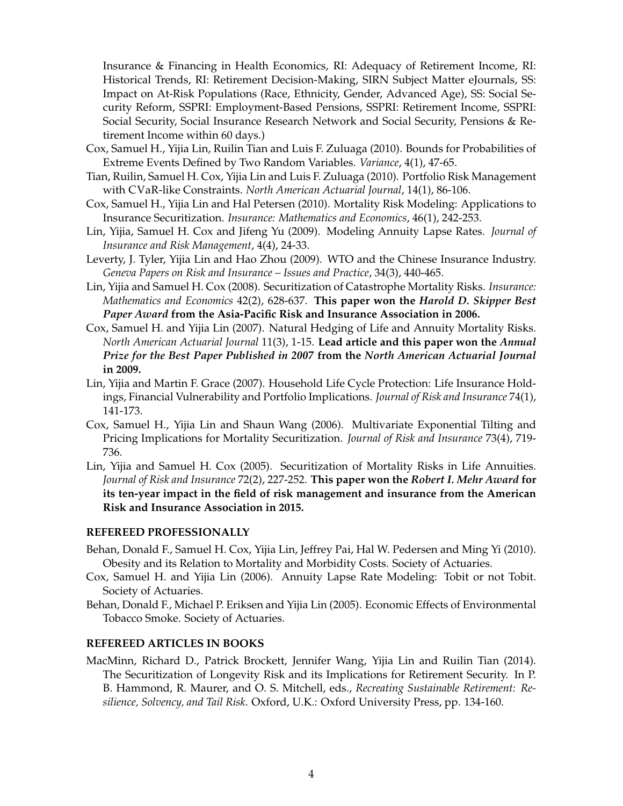Insurance & Financing in Health Economics, RI: Adequacy of Retirement Income, RI: Historical Trends, RI: Retirement Decision-Making, SIRN Subject Matter eJournals, SS: Impact on At-Risk Populations (Race, Ethnicity, Gender, Advanced Age), SS: Social Security Reform, SSPRI: Employment-Based Pensions, SSPRI: Retirement Income, SSPRI: Social Security, Social Insurance Research Network and Social Security, Pensions & Retirement Income within 60 days.)

- Cox, Samuel H., Yijia Lin, Ruilin Tian and Luis F. Zuluaga (2010). Bounds for Probabilities of Extreme Events Defined by Two Random Variables. *Variance*, 4(1), 47-65.
- Tian, Ruilin, Samuel H. Cox, Yijia Lin and Luis F. Zuluaga (2010). Portfolio Risk Management with CVaR-like Constraints. *North American Actuarial Journal*, 14(1), 86-106.
- Cox, Samuel H., Yijia Lin and Hal Petersen (2010). Mortality Risk Modeling: Applications to Insurance Securitization. *Insurance: Mathematics and Economics*, 46(1), 242-253.
- Lin, Yijia, Samuel H. Cox and Jifeng Yu (2009). Modeling Annuity Lapse Rates. *Journal of Insurance and Risk Management*, 4(4), 24-33.
- Leverty, J. Tyler, Yijia Lin and Hao Zhou (2009). WTO and the Chinese Insurance Industry. *Geneva Papers on Risk and Insurance – Issues and Practice*, 34(3), 440-465.
- Lin, Yijia and Samuel H. Cox (2008). Securitization of Catastrophe Mortality Risks. *Insurance: Mathematics and Economics* 42(2), 628-637. **This paper won the** *Harold D. Skipper Best Paper Award* **from the Asia-Pacific Risk and Insurance Association in 2006.**
- Cox, Samuel H. and Yijia Lin (2007). Natural Hedging of Life and Annuity Mortality Risks. *North American Actuarial Journal* 11(3), 1-15. **Lead article and this paper won the** *Annual Prize for the Best Paper Published in 2007* **from the** *North American Actuarial Journal* **in 2009.**
- Lin, Yijia and Martin F. Grace (2007). Household Life Cycle Protection: Life Insurance Holdings, Financial Vulnerability and Portfolio Implications. *Journal of Risk and Insurance* 74(1), 141-173.
- Cox, Samuel H., Yijia Lin and Shaun Wang (2006). Multivariate Exponential Tilting and Pricing Implications for Mortality Securitization. *Journal of Risk and Insurance* 73(4), 719- 736.
- Lin, Yijia and Samuel H. Cox (2005). Securitization of Mortality Risks in Life Annuities. *Journal of Risk and Insurance* 72(2), 227-252. **This paper won the** *Robert I. Mehr Award* **for its ten-year impact in the field of risk management and insurance from the American Risk and Insurance Association in 2015.**

#### **REFEREED PROFESSIONALLY**

- Behan, Donald F., Samuel H. Cox, Yijia Lin, Jeffrey Pai, Hal W. Pedersen and Ming Yi (2010). Obesity and its Relation to Mortality and Morbidity Costs. Society of Actuaries.
- Cox, Samuel H. and Yijia Lin (2006). Annuity Lapse Rate Modeling: Tobit or not Tobit. Society of Actuaries.
- Behan, Donald F., Michael P. Eriksen and Yijia Lin (2005). Economic Effects of Environmental Tobacco Smoke. Society of Actuaries.

#### **REFEREED ARTICLES IN BOOKS**

MacMinn, Richard D., Patrick Brockett, Jennifer Wang, Yijia Lin and Ruilin Tian (2014). The Securitization of Longevity Risk and its Implications for Retirement Security. In P. B. Hammond, R. Maurer, and O. S. Mitchell, eds., *Recreating Sustainable Retirement: Resilience, Solvency, and Tail Risk*. Oxford, U.K.: Oxford University Press, pp. 134-160.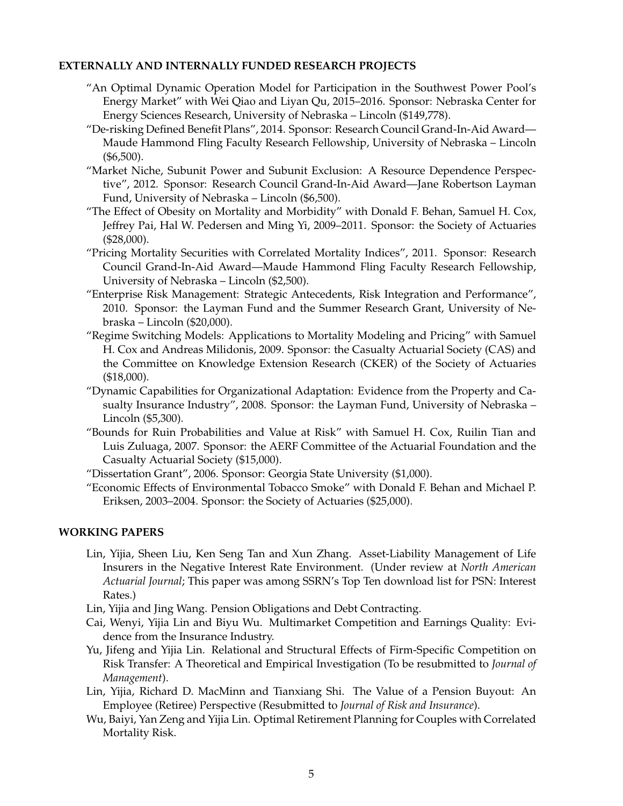#### **EXTERNALLY AND INTERNALLY FUNDED RESEARCH PROJECTS**

- "An Optimal Dynamic Operation Model for Participation in the Southwest Power Pool's Energy Market" with Wei Qiao and Liyan Qu, 2015–2016. Sponsor: Nebraska Center for Energy Sciences Research, University of Nebraska – Lincoln (\$149,778).
- "De-risking Defined Benefit Plans", 2014. Sponsor: Research Council Grand-In-Aid Award— Maude Hammond Fling Faculty Research Fellowship, University of Nebraska – Lincoln (\$6,500).
- "Market Niche, Subunit Power and Subunit Exclusion: A Resource Dependence Perspective", 2012. Sponsor: Research Council Grand-In-Aid Award—Jane Robertson Layman Fund, University of Nebraska – Lincoln (\$6,500).
- "The Effect of Obesity on Mortality and Morbidity" with Donald F. Behan, Samuel H. Cox, Jeffrey Pai, Hal W. Pedersen and Ming Yi, 2009–2011. Sponsor: the Society of Actuaries (\$28,000).
- "Pricing Mortality Securities with Correlated Mortality Indices", 2011. Sponsor: Research Council Grand-In-Aid Award—Maude Hammond Fling Faculty Research Fellowship, University of Nebraska – Lincoln (\$2,500).
- "Enterprise Risk Management: Strategic Antecedents, Risk Integration and Performance", 2010. Sponsor: the Layman Fund and the Summer Research Grant, University of Nebraska – Lincoln (\$20,000).
- "Regime Switching Models: Applications to Mortality Modeling and Pricing" with Samuel H. Cox and Andreas Milidonis, 2009. Sponsor: the Casualty Actuarial Society (CAS) and the Committee on Knowledge Extension Research (CKER) of the Society of Actuaries (\$18,000).
- "Dynamic Capabilities for Organizational Adaptation: Evidence from the Property and Casualty Insurance Industry", 2008. Sponsor: the Layman Fund, University of Nebraska – Lincoln (\$5,300).
- "Bounds for Ruin Probabilities and Value at Risk" with Samuel H. Cox, Ruilin Tian and Luis Zuluaga, 2007. Sponsor: the AERF Committee of the Actuarial Foundation and the Casualty Actuarial Society (\$15,000).
- "Dissertation Grant", 2006. Sponsor: Georgia State University (\$1,000).
- "Economic Effects of Environmental Tobacco Smoke" with Donald F. Behan and Michael P. Eriksen, 2003–2004. Sponsor: the Society of Actuaries (\$25,000).

#### **WORKING PAPERS**

- Lin, Yijia, Sheen Liu, Ken Seng Tan and Xun Zhang. Asset-Liability Management of Life Insurers in the Negative Interest Rate Environment. (Under review at *North American Actuarial Journal*; This paper was among SSRN's Top Ten download list for PSN: Interest Rates.)
- Lin, Yijia and Jing Wang. Pension Obligations and Debt Contracting.
- Cai, Wenyi, Yijia Lin and Biyu Wu. Multimarket Competition and Earnings Quality: Evidence from the Insurance Industry.
- Yu, Jifeng and Yijia Lin. Relational and Structural Effects of Firm-Specific Competition on Risk Transfer: A Theoretical and Empirical Investigation (To be resubmitted to *Journal of Management*).
- Lin, Yijia, Richard D. MacMinn and Tianxiang Shi. The Value of a Pension Buyout: An Employee (Retiree) Perspective (Resubmitted to *Journal of Risk and Insurance*).
- Wu, Baiyi, Yan Zeng and Yijia Lin. Optimal Retirement Planning for Couples with Correlated Mortality Risk.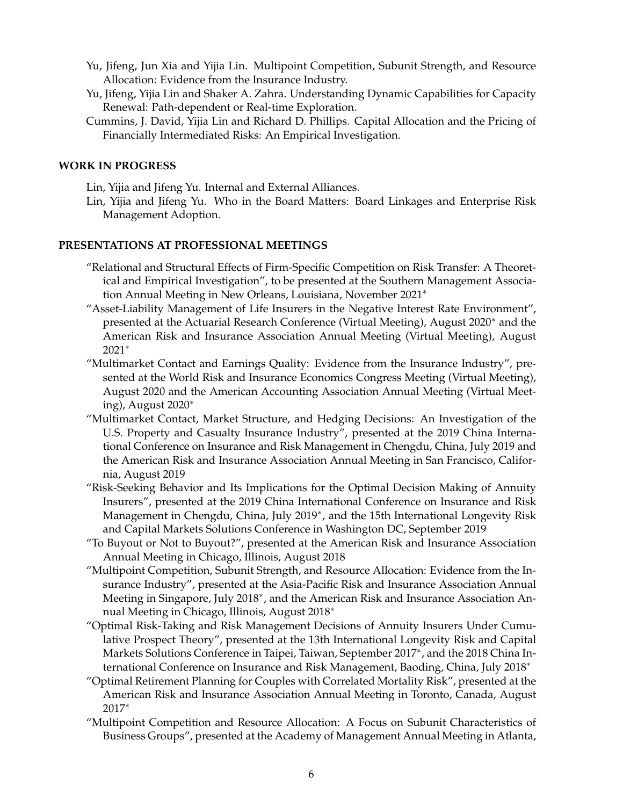- Yu, Jifeng, Jun Xia and Yijia Lin. Multipoint Competition, Subunit Strength, and Resource Allocation: Evidence from the Insurance Industry.
- Yu, Jifeng, Yijia Lin and Shaker A. Zahra. Understanding Dynamic Capabilities for Capacity Renewal: Path-dependent or Real-time Exploration.
- Cummins, J. David, Yijia Lin and Richard D. Phillips. Capital Allocation and the Pricing of Financially Intermediated Risks: An Empirical Investigation.

#### **WORK IN PROGRESS**

- Lin, Yijia and Jifeng Yu. Internal and External Alliances.
- Lin, Yijia and Jifeng Yu. Who in the Board Matters: Board Linkages and Enterprise Risk Management Adoption.

#### **PRESENTATIONS AT PROFESSIONAL MEETINGS**

- "Relational and Structural Effects of Firm-Specific Competition on Risk Transfer: A Theoretical and Empirical Investigation", to be presented at the Southern Management Association Annual Meeting in New Orleans, Louisiana, November 2021<sup>∗</sup>
- "Asset-Liability Management of Life Insurers in the Negative Interest Rate Environment", presented at the Actuarial Research Conference (Virtual Meeting), August 2020<sup>∗</sup> and the American Risk and Insurance Association Annual Meeting (Virtual Meeting), August 2021<sup>∗</sup>
- "Multimarket Contact and Earnings Quality: Evidence from the Insurance Industry", presented at the World Risk and Insurance Economics Congress Meeting (Virtual Meeting), August 2020 and the American Accounting Association Annual Meeting (Virtual Meeting), August 2020<sup>∗</sup>
- "Multimarket Contact, Market Structure, and Hedging Decisions: An Investigation of the U.S. Property and Casualty Insurance Industry", presented at the 2019 China International Conference on Insurance and Risk Management in Chengdu, China, July 2019 and the American Risk and Insurance Association Annual Meeting in San Francisco, California, August 2019
- "Risk-Seeking Behavior and Its Implications for the Optimal Decision Making of Annuity Insurers", presented at the 2019 China International Conference on Insurance and Risk Management in Chengdu, China, July 2019<sup>∗</sup> , and the 15th International Longevity Risk and Capital Markets Solutions Conference in Washington DC, September 2019
- "To Buyout or Not to Buyout?", presented at the American Risk and Insurance Association Annual Meeting in Chicago, Illinois, August 2018
- "Multipoint Competition, Subunit Strength, and Resource Allocation: Evidence from the Insurance Industry", presented at the Asia-Pacific Risk and Insurance Association Annual Meeting in Singapore, July 2018<sup>∗</sup> , and the American Risk and Insurance Association Annual Meeting in Chicago, Illinois, August 2018<sup>∗</sup>
- "Optimal Risk-Taking and Risk Management Decisions of Annuity Insurers Under Cumulative Prospect Theory", presented at the 13th International Longevity Risk and Capital Markets Solutions Conference in Taipei, Taiwan, September 2017<sup>∗</sup> , and the 2018 China International Conference on Insurance and Risk Management, Baoding, China, July 2018<sup>∗</sup>
- "Optimal Retirement Planning for Couples with Correlated Mortality Risk", presented at the American Risk and Insurance Association Annual Meeting in Toronto, Canada, August 2017<sup>∗</sup>
- "Multipoint Competition and Resource Allocation: A Focus on Subunit Characteristics of Business Groups", presented at the Academy of Management Annual Meeting in Atlanta,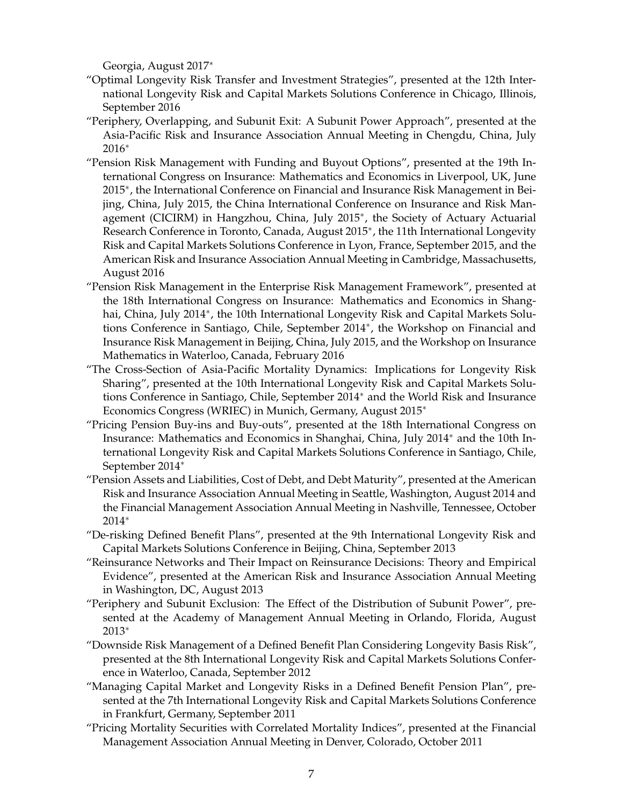Georgia, August 2017<sup>∗</sup>

- "Optimal Longevity Risk Transfer and Investment Strategies", presented at the 12th International Longevity Risk and Capital Markets Solutions Conference in Chicago, Illinois, September 2016
- "Periphery, Overlapping, and Subunit Exit: A Subunit Power Approach", presented at the Asia-Pacific Risk and Insurance Association Annual Meeting in Chengdu, China, July 2016<sup>∗</sup>
- "Pension Risk Management with Funding and Buyout Options", presented at the 19th International Congress on Insurance: Mathematics and Economics in Liverpool, UK, June 2015<sup>∗</sup> , the International Conference on Financial and Insurance Risk Management in Beijing, China, July 2015, the China International Conference on Insurance and Risk Management (CICIRM) in Hangzhou, China, July 2015<sup>∗</sup> , the Society of Actuary Actuarial Research Conference in Toronto, Canada, August 2015<sup>\*</sup>, the 11th International Longevity Risk and Capital Markets Solutions Conference in Lyon, France, September 2015, and the American Risk and Insurance Association Annual Meeting in Cambridge, Massachusetts, August 2016
- "Pension Risk Management in the Enterprise Risk Management Framework", presented at the 18th International Congress on Insurance: Mathematics and Economics in Shanghai, China, July 2014<sup>∗</sup> , the 10th International Longevity Risk and Capital Markets Solutions Conference in Santiago, Chile, September 2014<sup>∗</sup> , the Workshop on Financial and Insurance Risk Management in Beijing, China, July 2015, and the Workshop on Insurance Mathematics in Waterloo, Canada, February 2016
- "The Cross-Section of Asia-Pacific Mortality Dynamics: Implications for Longevity Risk Sharing", presented at the 10th International Longevity Risk and Capital Markets Solutions Conference in Santiago, Chile, September 2014<sup>∗</sup> and the World Risk and Insurance Economics Congress (WRIEC) in Munich, Germany, August 2015<sup>∗</sup>
- "Pricing Pension Buy-ins and Buy-outs", presented at the 18th International Congress on Insurance: Mathematics and Economics in Shanghai, China, July 2014<sup>∗</sup> and the 10th International Longevity Risk and Capital Markets Solutions Conference in Santiago, Chile, September 2014<sup>∗</sup>
- "Pension Assets and Liabilities, Cost of Debt, and Debt Maturity", presented at the American Risk and Insurance Association Annual Meeting in Seattle, Washington, August 2014 and the Financial Management Association Annual Meeting in Nashville, Tennessee, October 2014<sup>∗</sup>
- "De-risking Defined Benefit Plans", presented at the 9th International Longevity Risk and Capital Markets Solutions Conference in Beijing, China, September 2013
- "Reinsurance Networks and Their Impact on Reinsurance Decisions: Theory and Empirical Evidence", presented at the American Risk and Insurance Association Annual Meeting in Washington, DC, August 2013
- "Periphery and Subunit Exclusion: The Effect of the Distribution of Subunit Power", presented at the Academy of Management Annual Meeting in Orlando, Florida, August 2013<sup>∗</sup>
- "Downside Risk Management of a Defined Benefit Plan Considering Longevity Basis Risk", presented at the 8th International Longevity Risk and Capital Markets Solutions Conference in Waterloo, Canada, September 2012
- "Managing Capital Market and Longevity Risks in a Defined Benefit Pension Plan", presented at the 7th International Longevity Risk and Capital Markets Solutions Conference in Frankfurt, Germany, September 2011
- "Pricing Mortality Securities with Correlated Mortality Indices", presented at the Financial Management Association Annual Meeting in Denver, Colorado, October 2011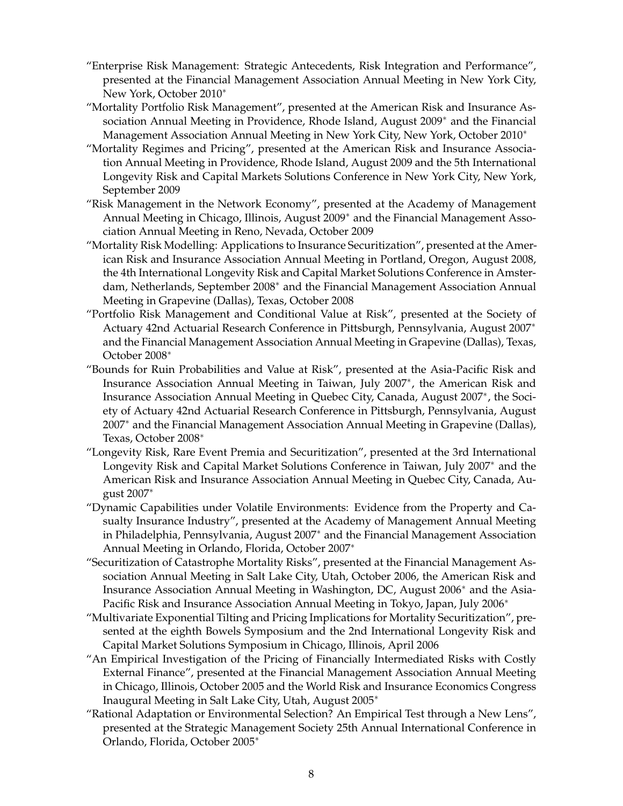- "Enterprise Risk Management: Strategic Antecedents, Risk Integration and Performance", presented at the Financial Management Association Annual Meeting in New York City, New York, October 2010<sup>∗</sup>
- "Mortality Portfolio Risk Management", presented at the American Risk and Insurance Association Annual Meeting in Providence, Rhode Island, August 2009<sup>∗</sup> and the Financial Management Association Annual Meeting in New York City, New York, October 2010<sup>∗</sup>
- "Mortality Regimes and Pricing", presented at the American Risk and Insurance Association Annual Meeting in Providence, Rhode Island, August 2009 and the 5th International Longevity Risk and Capital Markets Solutions Conference in New York City, New York, September 2009
- "Risk Management in the Network Economy", presented at the Academy of Management Annual Meeting in Chicago, Illinois, August 2009<sup>∗</sup> and the Financial Management Association Annual Meeting in Reno, Nevada, October 2009
- "Mortality Risk Modelling: Applications to Insurance Securitization", presented at the American Risk and Insurance Association Annual Meeting in Portland, Oregon, August 2008, the 4th International Longevity Risk and Capital Market Solutions Conference in Amsterdam, Netherlands, September 2008<sup>∗</sup> and the Financial Management Association Annual Meeting in Grapevine (Dallas), Texas, October 2008
- "Portfolio Risk Management and Conditional Value at Risk", presented at the Society of Actuary 42nd Actuarial Research Conference in Pittsburgh, Pennsylvania, August 2007<sup>∗</sup> and the Financial Management Association Annual Meeting in Grapevine (Dallas), Texas, October 2008<sup>∗</sup>
- "Bounds for Ruin Probabilities and Value at Risk", presented at the Asia-Pacific Risk and Insurance Association Annual Meeting in Taiwan, July 2007<sup>∗</sup> , the American Risk and Insurance Association Annual Meeting in Quebec City, Canada, August 2007<sup>∗</sup> , the Society of Actuary 42nd Actuarial Research Conference in Pittsburgh, Pennsylvania, August 2007<sup>∗</sup> and the Financial Management Association Annual Meeting in Grapevine (Dallas), Texas, October 2008<sup>∗</sup>
- "Longevity Risk, Rare Event Premia and Securitization", presented at the 3rd International Longevity Risk and Capital Market Solutions Conference in Taiwan, July 2007<sup>∗</sup> and the American Risk and Insurance Association Annual Meeting in Quebec City, Canada, August 2007<sup>∗</sup>
- "Dynamic Capabilities under Volatile Environments: Evidence from the Property and Casualty Insurance Industry", presented at the Academy of Management Annual Meeting in Philadelphia, Pennsylvania, August 2007<sup>∗</sup> and the Financial Management Association Annual Meeting in Orlando, Florida, October 2007<sup>∗</sup>
- "Securitization of Catastrophe Mortality Risks", presented at the Financial Management Association Annual Meeting in Salt Lake City, Utah, October 2006, the American Risk and Insurance Association Annual Meeting in Washington, DC, August 2006<sup>∗</sup> and the Asia-Pacific Risk and Insurance Association Annual Meeting in Tokyo, Japan, July 2006<sup>∗</sup>
- "Multivariate Exponential Tilting and Pricing Implications for Mortality Securitization", presented at the eighth Bowels Symposium and the 2nd International Longevity Risk and Capital Market Solutions Symposium in Chicago, Illinois, April 2006
- "An Empirical Investigation of the Pricing of Financially Intermediated Risks with Costly External Finance", presented at the Financial Management Association Annual Meeting in Chicago, Illinois, October 2005 and the World Risk and Insurance Economics Congress Inaugural Meeting in Salt Lake City, Utah, August 2005<sup>∗</sup>
- "Rational Adaptation or Environmental Selection? An Empirical Test through a New Lens", presented at the Strategic Management Society 25th Annual International Conference in Orlando, Florida, October 2005<sup>∗</sup>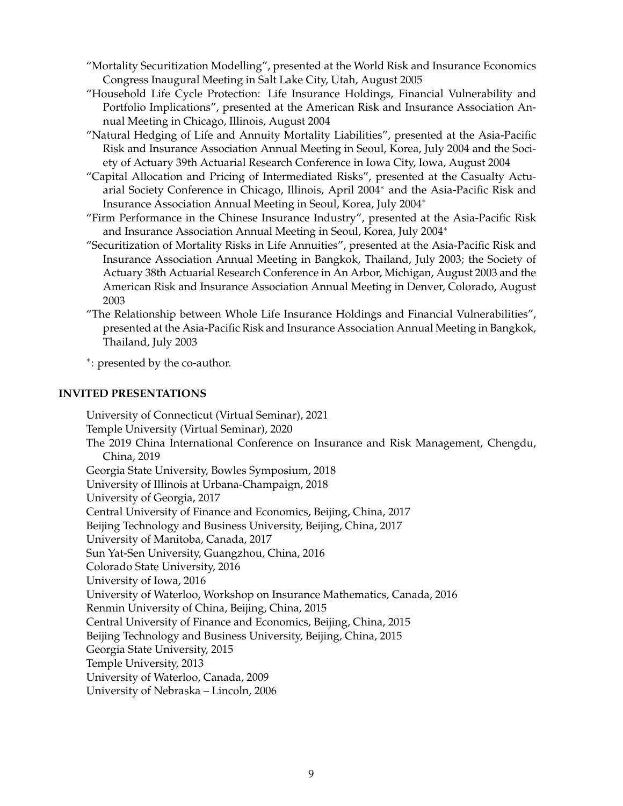- "Mortality Securitization Modelling", presented at the World Risk and Insurance Economics Congress Inaugural Meeting in Salt Lake City, Utah, August 2005
- "Household Life Cycle Protection: Life Insurance Holdings, Financial Vulnerability and Portfolio Implications", presented at the American Risk and Insurance Association Annual Meeting in Chicago, Illinois, August 2004
- "Natural Hedging of Life and Annuity Mortality Liabilities", presented at the Asia-Pacific Risk and Insurance Association Annual Meeting in Seoul, Korea, July 2004 and the Society of Actuary 39th Actuarial Research Conference in Iowa City, Iowa, August 2004
- "Capital Allocation and Pricing of Intermediated Risks", presented at the Casualty Actuarial Society Conference in Chicago, Illinois, April 2004<sup>∗</sup> and the Asia-Pacific Risk and Insurance Association Annual Meeting in Seoul, Korea, July 2004<sup>∗</sup>
- "Firm Performance in the Chinese Insurance Industry", presented at the Asia-Pacific Risk and Insurance Association Annual Meeting in Seoul, Korea, July 2004<sup>∗</sup>
- "Securitization of Mortality Risks in Life Annuities", presented at the Asia-Pacific Risk and Insurance Association Annual Meeting in Bangkok, Thailand, July 2003; the Society of Actuary 38th Actuarial Research Conference in An Arbor, Michigan, August 2003 and the American Risk and Insurance Association Annual Meeting in Denver, Colorado, August 2003
- "The Relationship between Whole Life Insurance Holdings and Financial Vulnerabilities", presented at the Asia-Pacific Risk and Insurance Association Annual Meeting in Bangkok, Thailand, July 2003

∗ : presented by the co-author.

#### **INVITED PRESENTATIONS**

University of Connecticut (Virtual Seminar), 2021 Temple University (Virtual Seminar), 2020 The 2019 China International Conference on Insurance and Risk Management, Chengdu, China, 2019 Georgia State University, Bowles Symposium, 2018 University of Illinois at Urbana-Champaign, 2018 University of Georgia, 2017 Central University of Finance and Economics, Beijing, China, 2017 Beijing Technology and Business University, Beijing, China, 2017 University of Manitoba, Canada, 2017 Sun Yat-Sen University, Guangzhou, China, 2016 Colorado State University, 2016 University of Iowa, 2016 University of Waterloo, Workshop on Insurance Mathematics, Canada, 2016 Renmin University of China, Beijing, China, 2015 Central University of Finance and Economics, Beijing, China, 2015 Beijing Technology and Business University, Beijing, China, 2015 Georgia State University, 2015 Temple University, 2013 University of Waterloo, Canada, 2009 University of Nebraska – Lincoln, 2006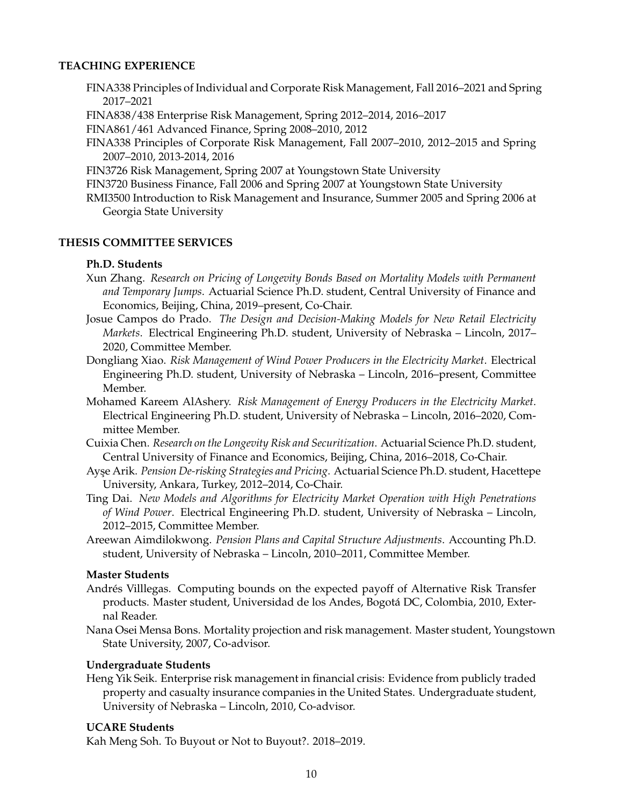#### **TEACHING EXPERIENCE**

- FINA338 Principles of Individual and Corporate Risk Management, Fall 2016–2021 and Spring 2017–2021
- FINA838/438 Enterprise Risk Management, Spring 2012–2014, 2016–2017
- FINA861/461 Advanced Finance, Spring 2008–2010, 2012
- FINA338 Principles of Corporate Risk Management, Fall 2007–2010, 2012–2015 and Spring 2007–2010, 2013-2014, 2016
- FIN3726 Risk Management, Spring 2007 at Youngstown State University
- FIN3720 Business Finance, Fall 2006 and Spring 2007 at Youngstown State University
- RMI3500 Introduction to Risk Management and Insurance, Summer 2005 and Spring 2006 at Georgia State University

#### **THESIS COMMITTEE SERVICES**

#### **Ph.D. Students**

- Xun Zhang. *Research on Pricing of Longevity Bonds Based on Mortality Models with Permanent and Temporary Jumps*. Actuarial Science Ph.D. student, Central University of Finance and Economics, Beijing, China, 2019–present, Co-Chair.
- Josue Campos do Prado. *The Design and Decision-Making Models for New Retail Electricity Markets*. Electrical Engineering Ph.D. student, University of Nebraska – Lincoln, 2017– 2020, Committee Member.
- Dongliang Xiao. *Risk Management of Wind Power Producers in the Electricity Market*. Electrical Engineering Ph.D. student, University of Nebraska – Lincoln, 2016–present, Committee Member.
- Mohamed Kareem AlAshery. *Risk Management of Energy Producers in the Electricity Market*. Electrical Engineering Ph.D. student, University of Nebraska – Lincoln, 2016–2020, Committee Member.
- Cuixia Chen. *Research on the Longevity Risk and Securitization*. Actuarial Science Ph.D. student, Central University of Finance and Economics, Beijing, China, 2016–2018, Co-Chair.
- Ayse Arik. *Pension De-risking Strategies and Pricing*. Actuarial Science Ph.D. student, Hacettepe University, Ankara, Turkey, 2012–2014, Co-Chair.
- Ting Dai. *New Models and Algorithms for Electricity Market Operation with High Penetrations of Wind Power*. Electrical Engineering Ph.D. student, University of Nebraska – Lincoln, 2012–2015, Committee Member.
- Areewan Aimdilokwong. *Pension Plans and Capital Structure Adjustments*. Accounting Ph.D. student, University of Nebraska – Lincoln, 2010–2011, Committee Member.

#### **Master Students**

- Andrés Villlegas. Computing bounds on the expected payoff of Alternative Risk Transfer products. Master student, Universidad de los Andes, Bogota DC, Colombia, 2010, Exter- ´ nal Reader.
- Nana Osei Mensa Bons. Mortality projection and risk management. Master student, Youngstown State University, 2007, Co-advisor.

#### **Undergraduate Students**

Heng Yik Seik. Enterprise risk management in financial crisis: Evidence from publicly traded property and casualty insurance companies in the United States. Undergraduate student, University of Nebraska – Lincoln, 2010, Co-advisor.

#### **UCARE Students**

Kah Meng Soh. To Buyout or Not to Buyout?. 2018–2019.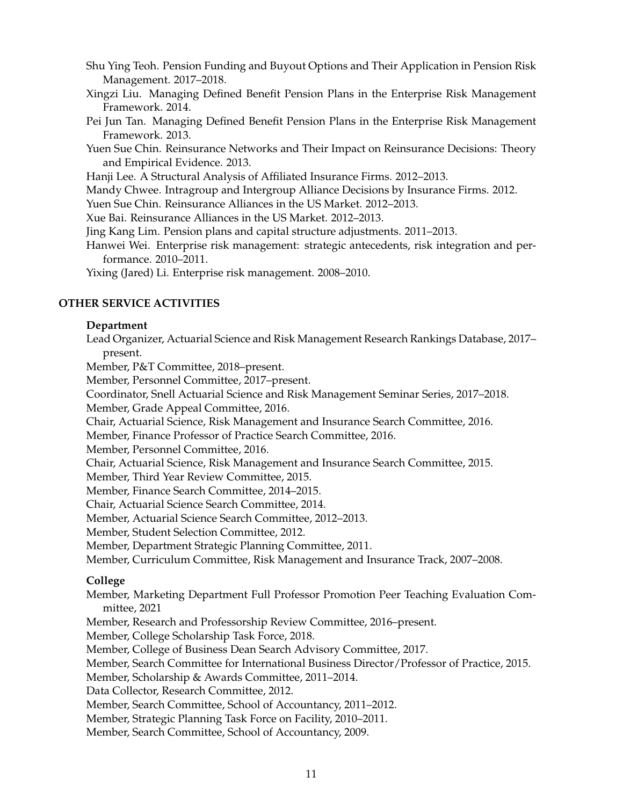- Shu Ying Teoh. Pension Funding and Buyout Options and Their Application in Pension Risk Management. 2017–2018.
- Xingzi Liu. Managing Defined Benefit Pension Plans in the Enterprise Risk Management Framework. 2014.
- Pei Jun Tan. Managing Defined Benefit Pension Plans in the Enterprise Risk Management Framework. 2013.
- Yuen Sue Chin. Reinsurance Networks and Their Impact on Reinsurance Decisions: Theory and Empirical Evidence. 2013.
- Hanji Lee. A Structural Analysis of Affiliated Insurance Firms. 2012–2013.
- Mandy Chwee. Intragroup and Intergroup Alliance Decisions by Insurance Firms. 2012.
- Yuen Sue Chin. Reinsurance Alliances in the US Market. 2012–2013.
- Xue Bai. Reinsurance Alliances in the US Market. 2012–2013.
- Jing Kang Lim. Pension plans and capital structure adjustments. 2011–2013.
- Hanwei Wei. Enterprise risk management: strategic antecedents, risk integration and performance. 2010–2011.
- Yixing (Jared) Li. Enterprise risk management. 2008–2010.

#### **OTHER SERVICE ACTIVITIES**

#### **Department**

- Lead Organizer, Actuarial Science and Risk Management Research Rankings Database, 2017– present.
- Member, P&T Committee, 2018–present.
- Member, Personnel Committee, 2017–present.
- Coordinator, Snell Actuarial Science and Risk Management Seminar Series, 2017–2018.
- Member, Grade Appeal Committee, 2016.
- Chair, Actuarial Science, Risk Management and Insurance Search Committee, 2016.
- Member, Finance Professor of Practice Search Committee, 2016.
- Member, Personnel Committee, 2016.
- Chair, Actuarial Science, Risk Management and Insurance Search Committee, 2015.
- Member, Third Year Review Committee, 2015.
- Member, Finance Search Committee, 2014–2015.
- Chair, Actuarial Science Search Committee, 2014.
- Member, Actuarial Science Search Committee, 2012–2013.
- Member, Student Selection Committee, 2012.
- Member, Department Strategic Planning Committee, 2011.
- Member, Curriculum Committee, Risk Management and Insurance Track, 2007–2008.

#### **College**

- Member, Marketing Department Full Professor Promotion Peer Teaching Evaluation Committee, 2021
- Member, Research and Professorship Review Committee, 2016–present.
- Member, College Scholarship Task Force, 2018.
- Member, College of Business Dean Search Advisory Committee, 2017.
- Member, Search Committee for International Business Director/Professor of Practice, 2015.
- Member, Scholarship & Awards Committee, 2011–2014.
- Data Collector, Research Committee, 2012.
- Member, Search Committee, School of Accountancy, 2011–2012.
- Member, Strategic Planning Task Force on Facility, 2010–2011.
- Member, Search Committee, School of Accountancy, 2009.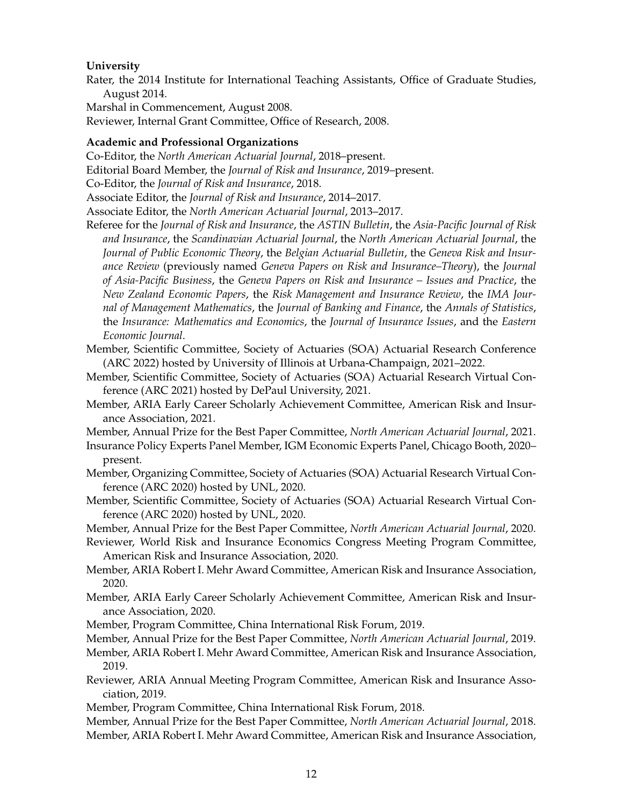#### **University**

Rater, the 2014 Institute for International Teaching Assistants, Office of Graduate Studies, August 2014.

Marshal in Commencement, August 2008.

Reviewer, Internal Grant Committee, Office of Research, 2008.

#### **Academic and Professional Organizations**

Co-Editor, the *North American Actuarial Journal*, 2018–present.

Editorial Board Member, the *Journal of Risk and Insurance*, 2019–present.

Co-Editor, the *Journal of Risk and Insurance*, 2018.

Associate Editor, the *Journal of Risk and Insurance*, 2014–2017.

Associate Editor, the *North American Actuarial Journal*, 2013–2017.

- Referee for the *Journal of Risk and Insurance*, the *ASTIN Bulletin*, the *Asia-Pacific Journal of Risk and Insurance*, the *Scandinavian Actuarial Journal*, the *North American Actuarial Journal*, the *Journal of Public Economic Theory*, the *Belgian Actuarial Bulletin*, the *Geneva Risk and Insurance Review* (previously named *Geneva Papers on Risk and Insurance–Theory*), the *Journal of Asia-Pacific Business*, the *Geneva Papers on Risk and Insurance – Issues and Practice*, the *New Zealand Economic Papers*, the *Risk Management and Insurance Review*, the *IMA Journal of Management Mathematics*, the *Journal of Banking and Finance*, the *Annals of Statistics*, the *Insurance: Mathematics and Economics*, the *Journal of Insurance Issues*, and the *Eastern Economic Journal*.
- Member, Scientific Committee, Society of Actuaries (SOA) Actuarial Research Conference (ARC 2022) hosted by University of Illinois at Urbana-Champaign, 2021–2022.
- Member, Scientific Committee, Society of Actuaries (SOA) Actuarial Research Virtual Conference (ARC 2021) hosted by DePaul University, 2021.
- Member, ARIA Early Career Scholarly Achievement Committee, American Risk and Insurance Association, 2021.

Member, Annual Prize for the Best Paper Committee, *North American Actuarial Journal*, 2021.

- Insurance Policy Experts Panel Member, IGM Economic Experts Panel, Chicago Booth, 2020– present.
- Member, Organizing Committee, Society of Actuaries (SOA) Actuarial Research Virtual Conference (ARC 2020) hosted by UNL, 2020.

Member, Scientific Committee, Society of Actuaries (SOA) Actuarial Research Virtual Conference (ARC 2020) hosted by UNL, 2020.

Member, Annual Prize for the Best Paper Committee, *North American Actuarial Journal*, 2020.

- Reviewer, World Risk and Insurance Economics Congress Meeting Program Committee, American Risk and Insurance Association, 2020.
- Member, ARIA Robert I. Mehr Award Committee, American Risk and Insurance Association, 2020.
- Member, ARIA Early Career Scholarly Achievement Committee, American Risk and Insurance Association, 2020.
- Member, Program Committee, China International Risk Forum, 2019.
- Member, Annual Prize for the Best Paper Committee, *North American Actuarial Journal*, 2019.

Member, ARIA Robert I. Mehr Award Committee, American Risk and Insurance Association, 2019.

- Reviewer, ARIA Annual Meeting Program Committee, American Risk and Insurance Association, 2019.
- Member, Program Committee, China International Risk Forum, 2018.

Member, Annual Prize for the Best Paper Committee, *North American Actuarial Journal*, 2018.

Member, ARIA Robert I. Mehr Award Committee, American Risk and Insurance Association,